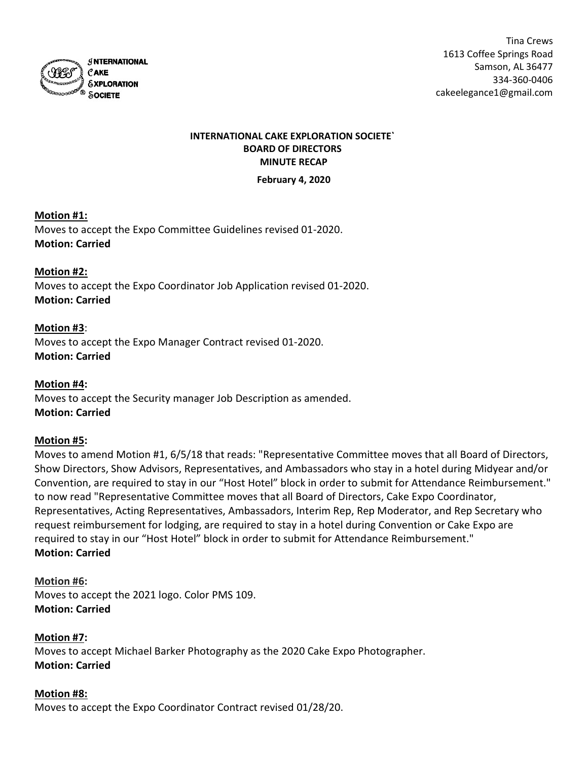

# INTERNATIONAL CAKE EXPLORATION SOCIETE` BOARD OF DIRECTORS MINUTE RECAP

February 4, 2020

# Motion #1:

Moves to accept the Expo Committee Guidelines revised 01-2020. Motion: Carried

Motion #2: Moves to accept the Expo Coordinator Job Application revised 01-2020. Motion: Carried

Motion #3: Moves to accept the Expo Manager Contract revised 01-2020. Motion: Carried

Motion #4: Moves to accept the Security manager Job Description as amended. Motion: Carried

# Motion #5:

Moves to amend Motion #1, 6/5/18 that reads: "Representative Committee moves that all Board of Directors, Show Directors, Show Advisors, Representatives, and Ambassadors who stay in a hotel during Midyear and/or Convention, are required to stay in our "Host Hotel" block in order to submit for Attendance Reimbursement." to now read "Representative Committee moves that all Board of Directors, Cake Expo Coordinator, Representatives, Acting Representatives, Ambassadors, Interim Rep, Rep Moderator, and Rep Secretary who request reimbursement for lodging, are required to stay in a hotel during Convention or Cake Expo are required to stay in our "Host Hotel" block in order to submit for Attendance Reimbursement." Motion: Carried

Motion #6: Moves to accept the 2021 logo. Color PMS 109. Motion: Carried

# Motion #7:

Moves to accept Michael Barker Photography as the 2020 Cake Expo Photographer. Motion: Carried

# Motion #8:

Moves to accept the Expo Coordinator Contract revised 01/28/20.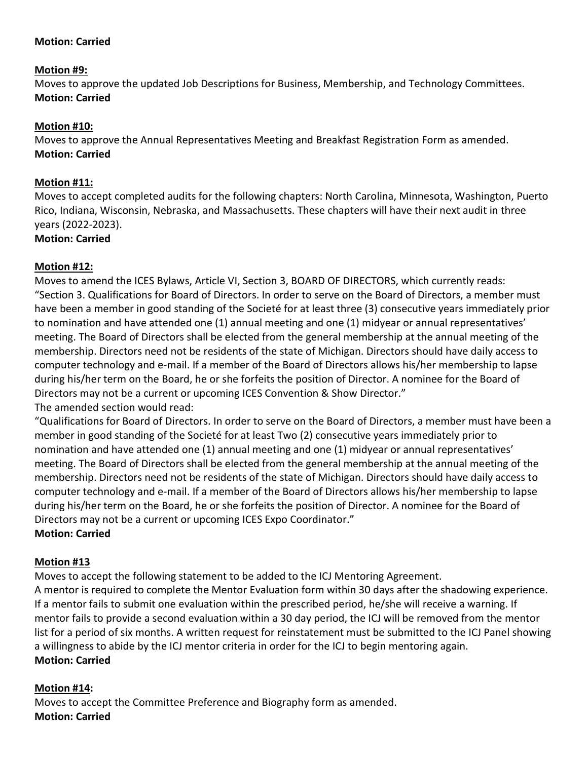# Motion: Carried

# Motion #9:

Moves to approve the updated Job Descriptions for Business, Membership, and Technology Committees. Motion: Carried

# Motion #10:

Moves to approve the Annual Representatives Meeting and Breakfast Registration Form as amended. Motion: Carried

# Motion #11:

Moves to accept completed audits for the following chapters: North Carolina, Minnesota, Washington, Puerto Rico, Indiana, Wisconsin, Nebraska, and Massachusetts. These chapters will have their next audit in three years (2022-2023).

#### Motion: Carried

# Motion #12:

Moves to amend the ICES Bylaws, Article VI, Section 3, BOARD OF DIRECTORS, which currently reads: "Section 3. Qualifications for Board of Directors. In order to serve on the Board of Directors, a member must have been a member in good standing of the Societé for at least three (3) consecutive years immediately prior to nomination and have attended one (1) annual meeting and one (1) midyear or annual representatives' meeting. The Board of Directors shall be elected from the general membership at the annual meeting of the membership. Directors need not be residents of the state of Michigan. Directors should have daily access to computer technology and e-mail. If a member of the Board of Directors allows his/her membership to lapse during his/her term on the Board, he or she forfeits the position of Director. A nominee for the Board of Directors may not be a current or upcoming ICES Convention & Show Director." The amended section would read:

"Qualifications for Board of Directors. In order to serve on the Board of Directors, a member must have been a member in good standing of the Societé for at least Two (2) consecutive years immediately prior to nomination and have attended one (1) annual meeting and one (1) midyear or annual representatives' meeting. The Board of Directors shall be elected from the general membership at the annual meeting of the membership. Directors need not be residents of the state of Michigan. Directors should have daily access to computer technology and e-mail. If a member of the Board of Directors allows his/her membership to lapse during his/her term on the Board, he or she forfeits the position of Director. A nominee for the Board of Directors may not be a current or upcoming ICES Expo Coordinator."

# Motion: Carried

# Motion #13

Moves to accept the following statement to be added to the ICJ Mentoring Agreement. A mentor is required to complete the Mentor Evaluation form within 30 days after the shadowing experience. If a mentor fails to submit one evaluation within the prescribed period, he/she will receive a warning. If mentor fails to provide a second evaluation within a 30 day period, the ICJ will be removed from the mentor list for a period of six months. A written request for reinstatement must be submitted to the ICJ Panel showing a willingness to abide by the ICJ mentor criteria in order for the ICJ to begin mentoring again. Motion: Carried

# Motion #14:

Moves to accept the Committee Preference and Biography form as amended. Motion: Carried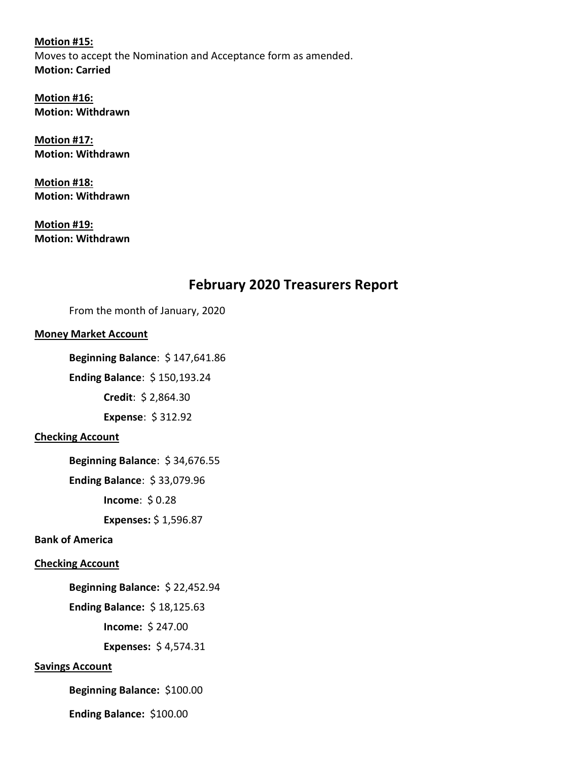Motion #15: Moves to accept the Nomination and Acceptance form as amended. Motion: Carried

Motion #16: Motion: Withdrawn

Motion #17: Motion: Withdrawn

Motion #18: Motion: Withdrawn

Motion #19: Motion: Withdrawn

# February 2020 Treasurers Report

From the month of January, 2020

# Money Market Account

Beginning Balance: \$ 147,641.86

Ending Balance: \$ 150,193.24

Credit: \$ 2,864.30

Expense: \$ 312.92

# Checking Account

Beginning Balance: \$ 34,676.55

Ending Balance: \$ 33,079.96

Income: \$ 0.28

Expenses: \$ 1,596.87

# Bank of America

# Checking Account

Beginning Balance: \$ 22,452.94

Ending Balance: \$ 18,125.63

Income: \$ 247.00

Expenses: \$ 4,574.31

# Savings Account

Beginning Balance: \$100.00

Ending Balance: \$100.00